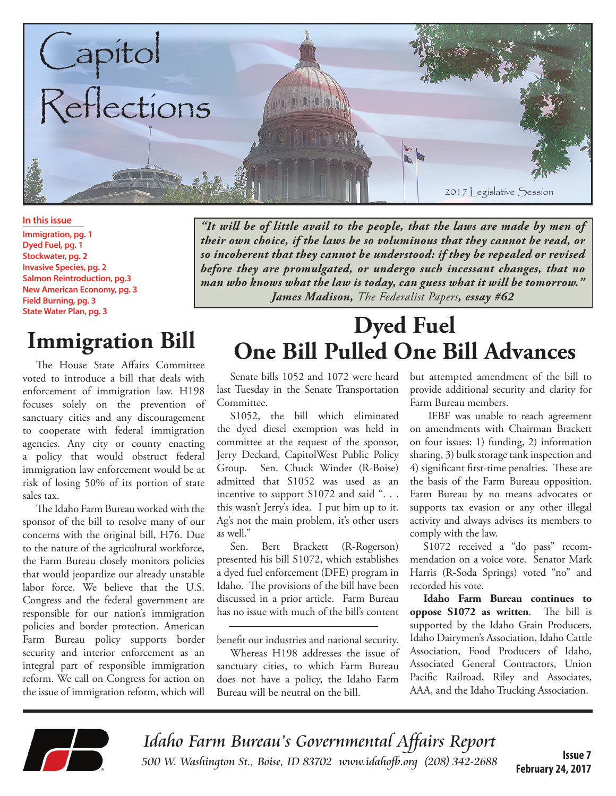

**In this issue**

**Immigration, pg. 1 Dyed Fuel, pg. 1 Stockwater, pg. 2 Invasive Species, pg. 2 Salmon Reintroduction, pg.3 New American Economy, pg. 3 Field Burning, pg. 3 State Water Plan, pg. 3**

# **Immigration Bill**

The House State Affairs Committee voted to introduce a bill that deals with enforcement of immigration law. H198 focuses solely on the prevention of sanctuary cities and any discouragement to cooperate with federal immigration agencies. Any city or county enacting a policy that would obstruct federal immigration law enforcement would be at risk of losing 50% of its portion of state sales tax.

The Idaho Farm Bureau worked with the sponsor of the bill to resolve many of our concerns with the original bill, H76. Due to the nature of the agricultural workforce, the Farm Bureau closely monitors policies that would jeopardize our already unstable labor force. We believe that the U.S. Congress and the federal government are responsible for our nation's immigration policies and border protection. American Farm Bureau policy supports border security and interior enforcement as an integral part of responsible immigration reform. We call on Congress for action on the issue of immigration reform, which will

*"It will be of little avail to the people, that the laws are made by men of their own choice, if the laws be so voluminous that they cannot be read, or so incoherent that they cannot be understood: if they be repealed or revised before they are promulgated, or undergo such incessant changes, that no man who knows what the law is today, can guess what it will be tomorrow." James Madison, The Federalist Papers, essay #62*

## **Dyed Fuel One Bill Pulled One Bill Advances**

Senate bills 1052 and 1072 were heard last Tuesday in the Senate Transportation Committee.

S1052, the bill which eliminated the dyed diesel exemption was held in committee at the request of the sponsor, Jerry Deckard, CapitolWest Public Policy Group. Sen. Chuck Winder (R-Boise) admitted that S1052 was used as an incentive to support S1072 and said ". . . this wasn't Jerry's idea. I put him up to it. Ag's not the main problem, it's other users as well."

Sen. Bert Brackett (R-Rogerson) presented his bill S1072, which establishes a dyed fuel enforcement (DFE) program in Idaho. The provisions of the bill have been discussed in a prior article. Farm Bureau has no issue with much of the bill's content

benefit our industries and national security.

Whereas H198 addresses the issue of sanctuary cities, to which Farm Bureau does not have a policy, the Idaho Farm Bureau will be neutral on the bill.

but attempted amendment of the bill to provide additional security and clarity for Farm Bureau members.

 IFBF was unable to reach agreement on amendments with Chairman Brackett on four issues: 1) funding, 2) information sharing, 3) bulk storage tank inspection and 4) significant first-time penalties. These are the basis of the Farm Bureau opposition. Farm Bureau by no means advocates or supports tax evasion or any other illegal activity and always advises its members to comply with the law.

S1072 received a "do pass" recommendation on a voice vote. Senator Mark Harris (R-Soda Springs) voted "no" and recorded his vote.

**Idaho Farm Bureau continues to oppose S1072 as written**. The bill is supported by the Idaho Grain Producers, Idaho Dairymen's Association, Idaho Cattle Association, Food Producers of Idaho, Associated General Contractors, Union Pacific Railroad, Riley and Associates, AAA, and the Idaho Trucking Association.



Idaho Farm Bureau's Governmental Affairs Report 500 W. Washington St., Boise, ID 83702 [www.idahofb.org \(2](http://www.idahofb.org)08) 342-2688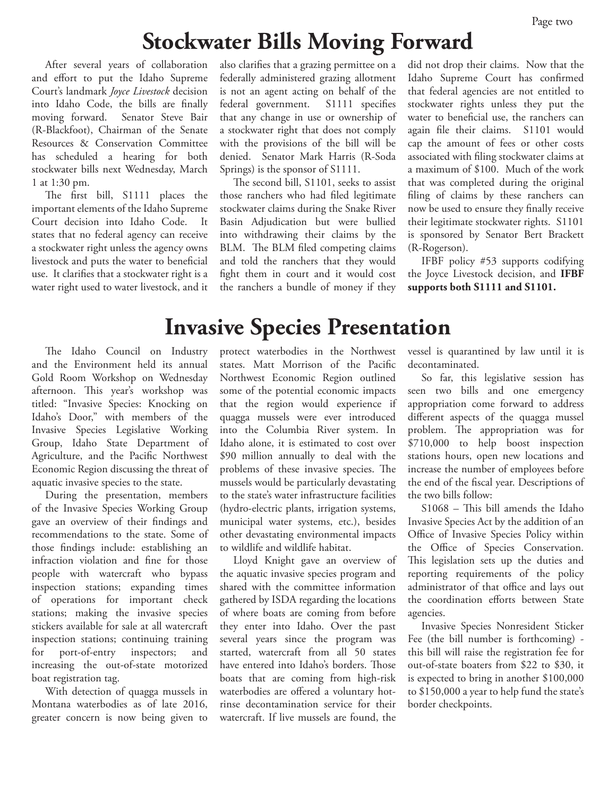## **Stockwater Bills Moving Forward**

After several years of collaboration and effort to put the Idaho Supreme Court's landmark *Joyce Livestock* decision into Idaho Code, the bills are finally moving forward. Senator Steve Bair (R-Blackfoot), Chairman of the Senate Resources & Conservation Committee has scheduled a hearing for both stockwater bills next Wednesday, March 1 at 1:30 pm.

The first bill, S1111 places the important elements of the Idaho Supreme Court decision into Idaho Code. It states that no federal agency can receive a stockwater right unless the agency owns livestock and puts the water to beneficial use. It clarifies that a stockwater right is a water right used to water livestock, and it

The Idaho Council on Industry and the Environment held its annual Gold Room Workshop on Wednesday afternoon. This year's workshop was titled: "Invasive Species: Knocking on Idaho's Door," with members of the Invasive Species Legislative Working Group, Idaho State Department of Agriculture, and the Pacific Northwest Economic Region discussing the threat of aquatic invasive species to the state.

During the presentation, members of the Invasive Species Working Group gave an overview of their findings and recommendations to the state. Some of those findings include: establishing an infraction violation and fine for those people with watercraft who bypass inspection stations; expanding times of operations for important check stations; making the invasive species stickers available for sale at all watercraft inspection stations; continuing training for port-of-entry inspectors; and increasing the out-of-state motorized boat registration tag.

With detection of quagga mussels in Montana waterbodies as of late 2016, greater concern is now being given to also clarifies that a grazing permittee on a federally administered grazing allotment is not an agent acting on behalf of the federal government. S1111 specifies that any change in use or ownership of a stockwater right that does not comply with the provisions of the bill will be denied. Senator Mark Harris (R-Soda Springs) is the sponsor of S1111.

The second bill, S1101, seeks to assist those ranchers who had filed legitimate stockwater claims during the Snake River Basin Adjudication but were bullied into withdrawing their claims by the BLM. The BLM filed competing claims and told the ranchers that they would fight them in court and it would cost the ranchers a bundle of money if they did not drop their claims. Now that the Idaho Supreme Court has confirmed that federal agencies are not entitled to stockwater rights unless they put the water to beneficial use, the ranchers can again file their claims. S1101 would cap the amount of fees or other costs associated with filing stockwater claims at a maximum of \$100. Much of the work that was completed during the original filing of claims by these ranchers can now be used to ensure they finally receive their legitimate stockwater rights. S1101 is sponsored by Senator Bert Brackett (R-Rogerson).

IFBF policy #53 supports codifying the Joyce Livestock decision, and **IFBF supports both S1111 and S1101.**

### **Invasive Species Presentation**

protect waterbodies in the Northwest states. Matt Morrison of the Pacific Northwest Economic Region outlined some of the potential economic impacts that the region would experience if quagga mussels were ever introduced into the Columbia River system. In Idaho alone, it is estimated to cost over \$90 million annually to deal with the problems of these invasive species. The mussels would be particularly devastating to the state's water infrastructure facilities (hydro-electric plants, irrigation systems, municipal water systems, etc.), besides other devastating environmental impacts to wildlife and wildlife habitat.

Lloyd Knight gave an overview of the aquatic invasive species program and shared with the committee information gathered by ISDA regarding the locations of where boats are coming from before they enter into Idaho. Over the past several years since the program was started, watercraft from all 50 states have entered into Idaho's borders. Those boats that are coming from high-risk waterbodies are offered a voluntary hotrinse decontamination service for their watercraft. If live mussels are found, the

vessel is quarantined by law until it is decontaminated.

So far, this legislative session has seen two bills and one emergency appropriation come forward to address different aspects of the quagga mussel problem. The appropriation was for \$710,000 to help boost inspection stations hours, open new locations and increase the number of employees before the end of the fiscal year. Descriptions of the two bills follow:

S1068 – This bill amends the Idaho Invasive Species Act by the addition of an Office of Invasive Species Policy within the Office of Species Conservation. This legislation sets up the duties and reporting requirements of the policy administrator of that office and lays out the coordination efforts between State agencies.

Invasive Species Nonresident Sticker Fee (the bill number is forthcoming) this bill will raise the registration fee for out-of-state boaters from \$22 to \$30, it is expected to bring in another \$100,000 to \$150,000 a year to help fund the state's border checkpoints.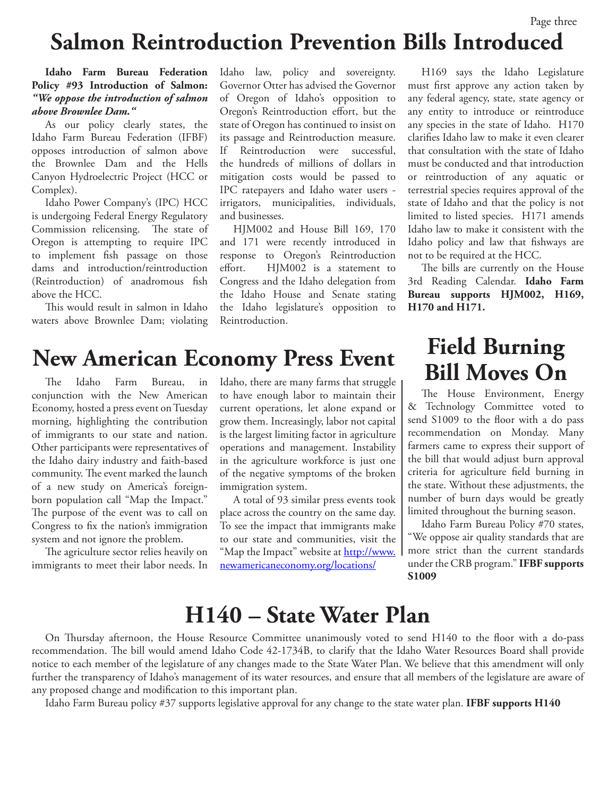### Page three **Salmon Reintroduction Prevention Bills Introduced**

#### **Idaho Farm Bureau Federation Policy #93 Introduction of Salmon:**  *"We oppose the introduction of salmon above Brownlee Dam."*

As our policy clearly states, the Idaho Farm Bureau Federation (IFBF) opposes introduction of salmon above the Brownlee Dam and the Hells Canyon Hydroelectric Project (HCC or Complex).

Idaho Power Company's (IPC) HCC is undergoing Federal Energy Regulatory Commission relicensing. The state of Oregon is attempting to require IPC to implement fish passage on those dams and introduction/reintroduction (Reintroduction) of anadromous fish above the HCC.

This would result in salmon in Idaho waters above Brownlee Dam; violating Idaho law, policy and sovereignty. Governor Otter has advised the Governor of Oregon of Idaho's opposition to Oregon's Reintroduction effort, but the state of Oregon has continued to insist on its passage and Reintroduction measure. If Reintroduction were successful, the hundreds of millions of dollars in mitigation costs would be passed to IPC ratepayers and Idaho water users irrigators, municipalities, individuals, and businesses.

HJM002 and House Bill 169, 170 and 171 were recently introduced in response to Oregon's Reintroduction effort. HJM002 is a statement to Congress and the Idaho delegation from the Idaho House and Senate stating the Idaho legislature's opposition to Reintroduction.

H169 says the Idaho Legislature must first approve any action taken by any federal agency, state, state agency or any entity to introduce or reintroduce any species in the state of Idaho. H170 clarifies Idaho law to make it even clearer that consultation with the state of Idaho must be conducted and that introduction or reintroduction of any aquatic or terrestrial species requires approval of the state of Idaho and that the policy is not limited to listed species. H171 amends Idaho law to make it consistent with the Idaho policy and law that fishways are not to be required at the HCC.

The bills are currently on the House 3rd Reading Calendar. **Idaho Farm Bureau supports HJM002, H169, H170 and H171.** 

### **New American Economy Press Event**

The Idaho Farm Bureau, in conjunction with the New American Economy, hosted a press event on Tuesday morning, highlighting the contribution of immigrants to our state and nation. Other participants were representatives of the Idaho dairy industry and faith-based community. The event marked the launch of a new study on America's foreignborn population call "Map the Impact." The purpose of the event was to call on Congress to fix the nation's immigration system and not ignore the problem.

The agriculture sector relies heavily on immigrants to meet their labor needs. In Idaho, there are many farms that struggle to have enough labor to maintain their current operations, let alone expand or grow them. Increasingly, labor not capital is the largest limiting factor in agriculture operations and management. Instability in the agriculture workforce is just one of the negative symptoms of the broken immigration system.

A total of 93 similar press events took place across the country on the same day. To see the impact that immigrants make to our state and communities, visit the "Map the Impact" website at [http://www.](http://www.newamericaneconomy.org/locations/) [newamericaneconomy.org/locations/](http://www.newamericaneconomy.org/locations/)

### **Field Burning Bill Moves On**

The House Environment, Energy & Technology Committee voted to send S1009 to the floor with a do pass recommendation on Monday. Many farmers came to express their support of the bill that would adjust burn approval criteria for agriculture field burning in the state. Without these adjustments, the number of burn days would be greatly limited throughout the burning season.

Idaho Farm Bureau Policy #70 states, "We oppose air quality standards that are more strict than the current standards under the CRB program." **IFBF supports S1009**

### **H140 – State Water Plan**

On Thursday afternoon, the House Resource Committee unanimously voted to send H140 to the floor with a do-pass recommendation. The bill would amend Idaho Code 42-1734B, to clarify that the Idaho Water Resources Board shall provide notice to each member of the legislature of any changes made to the State Water Plan. We believe that this amendment will only further the transparency of Idaho's management of its water resources, and ensure that all members of the legislature are aware of any proposed change and modification to this important plan.

Idaho Farm Bureau policy #37 supports legislative approval for any change to the state water plan. **IFBF supports H140**